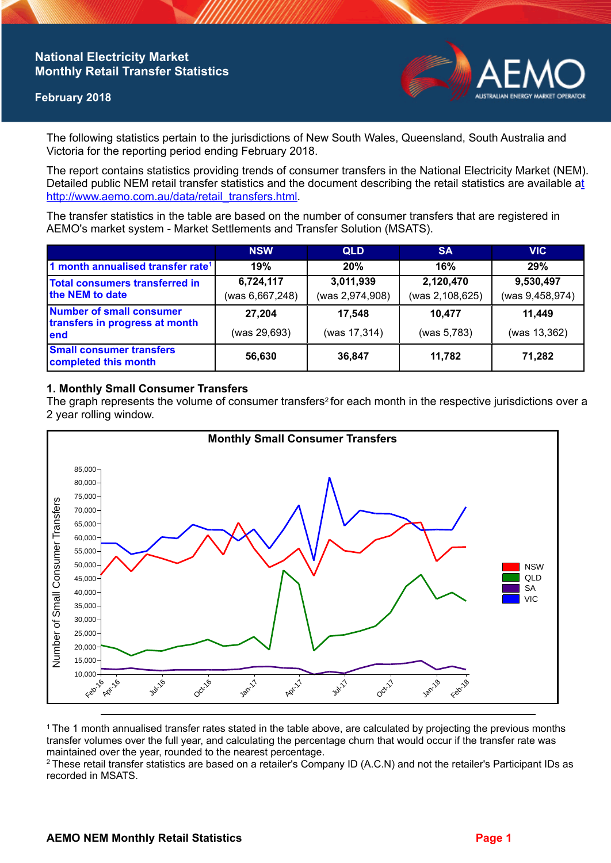# **National Electricity Market Monthly Retail Transfer Statistics**

### **February 2018**



The following statistics pertain to the jurisdictions of New South Wales, Queensland, South Australia and Victoria for the reporting period ending February 2018.

The report contains statistics providing trends of consumer transfers in the National Electricity Market (NEM). Detailed public NEM retail transfer statistics and the document describing the retail statistics are available a[t](http://www.aemo.com.au/data/retail_transfers.html)  http://www.aemo.com.au/data/retail\_transfers.html

The transfer statistics in the table are based on the number of consumer transfers that are registered in AEMO's market system - Market Settlements and Transfer Solution (MSATS).

|                                                                    | <b>NSW</b>                   | <b>QLD</b>                   | <b>SA</b>                    | <b>VIC</b>                   |
|--------------------------------------------------------------------|------------------------------|------------------------------|------------------------------|------------------------------|
| 1 month annualised transfer rate <sup>1</sup>                      | 19%                          | 20%                          | 16%                          | 29%                          |
| <b>Total consumers transferred in</b><br>the NEM to date           | 6,724,117<br>(was 6,667,248) | 3,011,939<br>(was 2,974,908) | 2,120,470<br>(was 2,108,625) | 9,530,497<br>(was 9,458,974) |
| Number of small consumer<br>transfers in progress at month<br>lend | 27,204<br>(was 29,693)       | 17,548<br>(was 17,314)       | 10.477<br>(was 5,783)        | 11,449<br>(was 13,362)       |
| <b>Small consumer transfers</b><br>completed this month            | 56,630                       | 36,847                       | 11.782                       | 71,282                       |

### **1. Monthly Small Consumer Transfers**

The graph represents the volume of consumer transfers<sup>2</sup> for each month in the respective jurisdictions over a 2 year rolling window.



<sup>1</sup>The 1 month annualised transfer rates stated in the table above, are calculated by projecting the previous months transfer volumes over the full year, and calculating the percentage churn that would occur if the transfer rate was maintained over the year, rounded to the nearest percentage.

<sup>2</sup> These retail transfer statistics are based on a retailer's Company ID (A.C.N) and not the retailer's Participant IDs as recorded in MSATS.